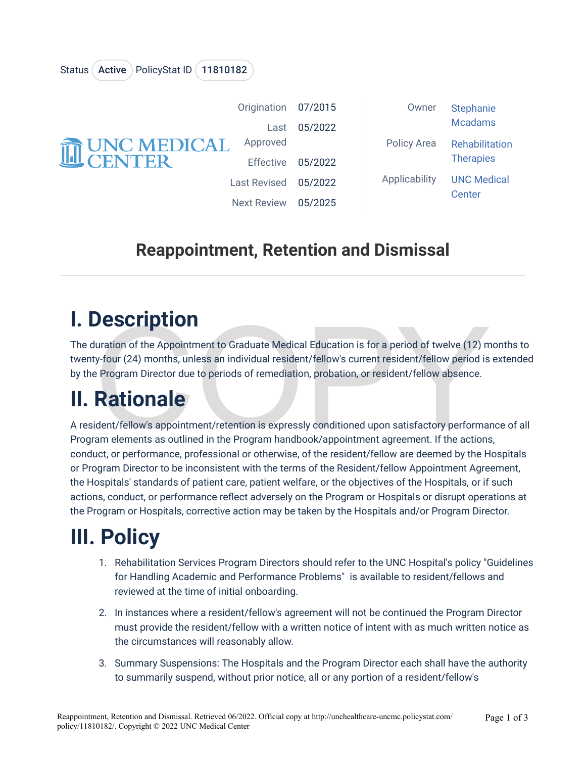| <b>THE UNC MEDICAL</b> | Origination         | 07/2015 | Owner         | <b>Stephanie</b><br><b>Mcadams</b> |
|------------------------|---------------------|---------|---------------|------------------------------------|
|                        | Last                | 05/2022 |               |                                    |
|                        | Approved            |         | Policy Area   | Rehabilitation<br><b>Therapies</b> |
|                        | <b>Effective</b>    | 05/2022 |               |                                    |
|                        | <b>Last Revised</b> | 05/2022 | Applicability | <b>UNC Medical</b><br>Center       |
|                        | <b>Next Review</b>  | 05/2025 |               |                                    |

### **Reappointment, Retention and Dismissal**

### **I. Description**

Status (Active ) PolicyStat ID (11810182

**DESCription**<br>
Unation of the Appointment to Graduate Medical Education is for a period of twelve (12) m<br>
19-four (24) months, unless an individual resident/fellow's current resident/fellow period is<br>
2 Program Director du The duration of the Appointment to Graduate Medical Education is for a period of twelve (12) months to twenty-four (24) months, unless an individual resident/fellow's current resident/fellow period is extended by the Program Director due to periods of remediation, probation, or resident/fellow absence.

## **II. Rationale**

A resident/fellow's appointment/retention is expressly conditioned upon satisfactory performance of all Program elements as outlined in the Program handbook/appointment agreement. If the actions, conduct, or performance, professional or otherwise, of the resident/fellow are deemed by the Hospitals or Program Director to be inconsistent with the terms of the Resident/fellow Appointment Agreement, the Hospitals' standards of patient care, patient welfare, or the objectives of the Hospitals, or if such actions, conduct, or performance reflect adversely on the Program or Hospitals or disrupt operations at the Program or Hospitals, corrective action may be taken by the Hospitals and/or Program Director.

# **III. Policy**

- 1. Rehabilitation Services Program Directors should refer to the UNC Hospital's policy "Guidelines for Handling Academic and Performance Problems" is available to resident/fellows and reviewed at the time of initial onboarding.
- 2. In instances where a resident/fellow's agreement will not be continued the Program Director must provide the resident/fellow with a written notice of intent with as much written notice as the circumstances will reasonably allow.
- 3. Summary Suspensions: The Hospitals and the Program Director each shall have the authority to summarily suspend, without prior notice, all or any portion of a resident/fellow's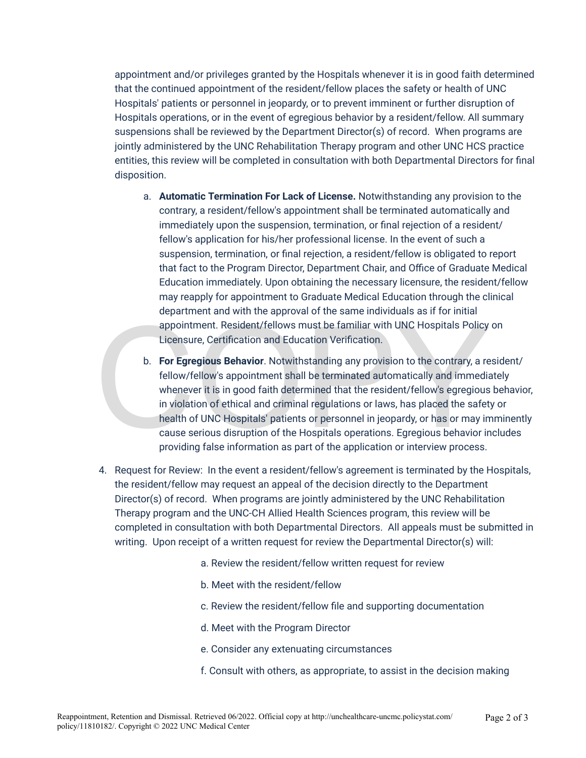appointment and/or privileges granted by the Hospitals whenever it is in good faith determined that the continued appointment of the resident/fellow places the safety or health of UNC Hospitals' patients or personnel in jeopardy, or to prevent imminent or further disruption of Hospitals operations, or in the event of egregious behavior by a resident/fellow. All summary suspensions shall be reviewed by the Department Director(s) of record. When programs are jointly administered by the UNC Rehabilitation Therapy program and other UNC HCS practice entities, this review will be completed in consultation with both Departmental Directors for final disposition.

- a. **Automatic Termination For Lack of License.** Notwithstanding any provision to the contrary, a resident/fellow's appointment shall be terminated automatically and immediately upon the suspension, termination, or final rejection of a resident/ fellow's application for his/her professional license. In the event of such a suspension, termination, or final rejection, a resident/fellow is obligated to report that fact to the Program Director, Department Chair, and Office of Graduate Medical Education immediately. Upon obtaining the necessary licensure, the resident/fellow may reapply for appointment to Graduate Medical Education through the clinical department and with the approval of the same individuals as if for initial appointment. Resident/fellows must be familiar with UNC Hospitals Policy on Licensure, Certification and Education Verification.
- appointment. Resident/fellows must be familiar with UNC Hospitals Policy<br>appointment. Resident/fellows must be familiar with UNC Hospitals Policy<br>Licensure, Certification and Education Verification.<br>b. For Egregious Behavi b. **For Egregious Behavior**. Notwithstanding any provision to the contrary, a resident/ fellow/fellow's appointment shall be terminated automatically and immediately whenever it is in good faith determined that the resident/fellow's egregious behavior, in violation of ethical and criminal regulations or laws, has placed the safety or health of UNC Hospitals' patients or personnel in jeopardy, or has or may imminently cause serious disruption of the Hospitals operations. Egregious behavior includes providing false information as part of the application or interview process.
- 4. Request for Review: In the event a resident/fellow's agreement is terminated by the Hospitals, the resident/fellow may request an appeal of the decision directly to the Department Director(s) of record. When programs are jointly administered by the UNC Rehabilitation Therapy program and the UNC-CH Allied Health Sciences program, this review will be completed in consultation with both Departmental Directors. All appeals must be submitted in writing. Upon receipt of a written request for review the Departmental Director(s) will:
	- a. Review the resident/fellow written request for review
	- b. Meet with the resident/fellow
	- c. Review the resident/fellow file and supporting documentation
	- d. Meet with the Program Director
	- e. Consider any extenuating circumstances
	- f. Consult with others, as appropriate, to assist in the decision making